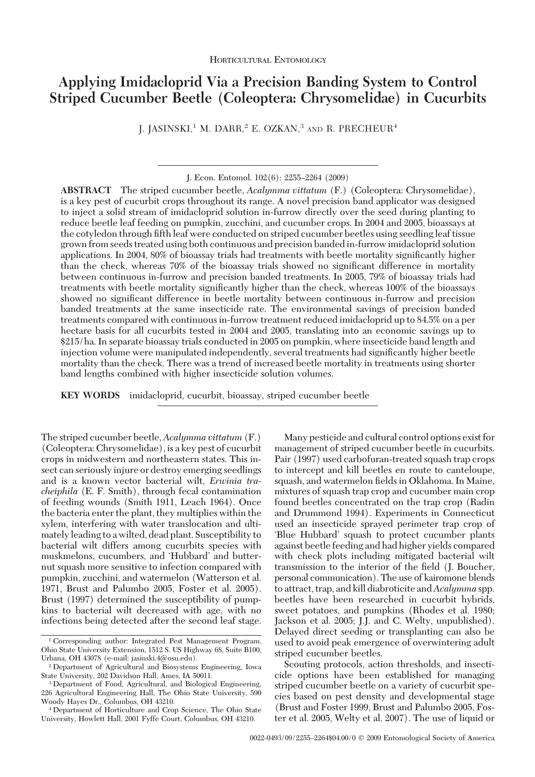# **Applying Imidacloprid Via a Precision Banding System to Control Striped Cucumber Beetle (Coleoptera: Chrysomelidae) in Cucurbits**

J. JASINSKI,<sup>1</sup> M. DARR,<sup>2</sup> E. OZKAN,<sup>3</sup> AND R. PRECHEUR<sup>4</sup>

J. Econ. Entomol.  $102(6)$ : 2255–2264 (2009)

**ABSTRACT** The striped cucumber beetle, *Acalymma vittatum* (F.) (Coleoptera: Chrysomelidae), is a key pest of cucurbit crops throughout its range. A novel precision band applicator was designed to inject a solid stream of imidacloprid solution in-furrow directly over the seed during planting to reduce beetle leaf feeding on pumpkin, zucchini, and cucumber crops. In 2004 and 2005, bioassays at the cotyledon through fifth leaf were conducted on striped cucumber beetles using seedling leaf tissue grown from seeds treated using both continuous and precision banded in-furrow imidacloprid solution applications. In 2004, 80% of bioassay trials had treatments with beetle mortality significantly higher than the check, whereas 70% of the bioassay trials showed no significant difference in mortality between continuous in-furrow and precision banded treatments. In 2005, 79% of bioassay trials had treatments with beetle mortality significantly higher than the check, whereas 100% of the bioassays showed no significant difference in beetle mortality between continuous in-furrow and precision banded treatments at the same insecticide rate. The environmental savings of precision banded treatments compared with continuous in-furrow treatment reduced imidacloprid up to 84.5% on a per hectare basis for all cucurbits tested in 2004 and 2005, translating into an economic savings up to \$215/ha. In separate bioassay trials conducted in 2005 on pumpkin, where insecticide band length and injection volume were manipulated independently, several treatments had significantly higher beetle mortality than the check. There was a trend of increased beetle mortality in treatments using shorter band lengths combined with higher insecticide solution volumes.

**KEY WORDS** imidacloprid, cucurbit, bioassay, striped cucumber beetle

The striped cucumber beetle,*Acalymma vittatum* (F.) (Coleoptera: Chrysomelidae), is a key pest of cucurbit crops in midwestern and northeastern states. This insect can seriously injure or destroy emerging seedlings and is a known vector bacterial wilt, *Erwinia tracheiphila* (E. F. Smith), through fecal contamination of feeding wounds (Smith 1911, Leach 1964). Once the bacteria enter the plant, they multiplies within the xylem, interfering with water translocation and ultimately leading to a wilted, dead plant. Susceptibility to bacterial wilt differs among cucurbits species with muskmelons, cucumbers, and 'Hubbard' and butternut squash more sensitive to infection compared with pumpkin, zucchini, and watermelon (Watterson et al. 1971, Brust and Palumbo 2005, Foster et al. 2005). Brust (1997) determined the susceptibility of pumpkins to bacterial wilt decreased with age, with no infections being detected after the second leaf stage.

Many pesticide and cultural control options exist for management of striped cucumber beetle in cucurbits. Pair (1997) used carbofuran-treated squash trap crops to intercept and kill beetles en route to canteloupe, squash, and watermelon fields in Oklahoma. In Maine, mixtures of squash trap crop and cucumber main crop found beetles concentrated on the trap crop (Radin and Drummond 1994). Experiments in Connecticut used an insecticide sprayed perimeter trap crop of Blue Hubbard' squash to protect cucumber plants against beetle feeding and had higher yields compared with check plots including mitigated bacterial wilt transmission to the interior of the field (J. Boucher, personal communication). The use of kairomone blends to attract, trap, and kill diabroticite and*Acalymma* spp. beetles have been researched in cucurbit hybrids, sweet potatoes, and pumpkins (Rhodes et al. 1980; Jackson et al. 2005; J.J. and C. Welty, unpublished). Delayed direct seeding or transplanting can also be used to avoid peak emergence of overwintering adult striped cucumber beetles.

Scouting protocols, action thresholds, and insecticide options have been established for managing striped cucumber beetle on a variety of cucurbit species based on pest density and developmental stage (Brust and Foster 1999, Brust and Palumbo 2005, Foster et al. 2005, Welty et al. 2007). The use of liquid or

<sup>1</sup> Corresponding author: Integrated Pest Management Program, Ohio State University Extension, 1512 S. US Highway 68, Suite B100, Urbana, OH 43078 (e-mail: jasinski.4@osu.edu).

<sup>2</sup> Department of Agricultural and Biosystems Engineering, Iowa State University, 202 Davidson Hall, Ames, IA 50011.

<sup>3</sup> Department of Food, Agricultural, and Biological Engineering, 226 Agricultural Engineering Hall, The Ohio State University, 590 Woody Hayes Dr., Columbus, OH 43210.

<sup>4</sup> Department of Horticulture and Crop Science, The Ohio State University, Howlett Hall, 2001 Fyffe Court, Columbus, OH 43210.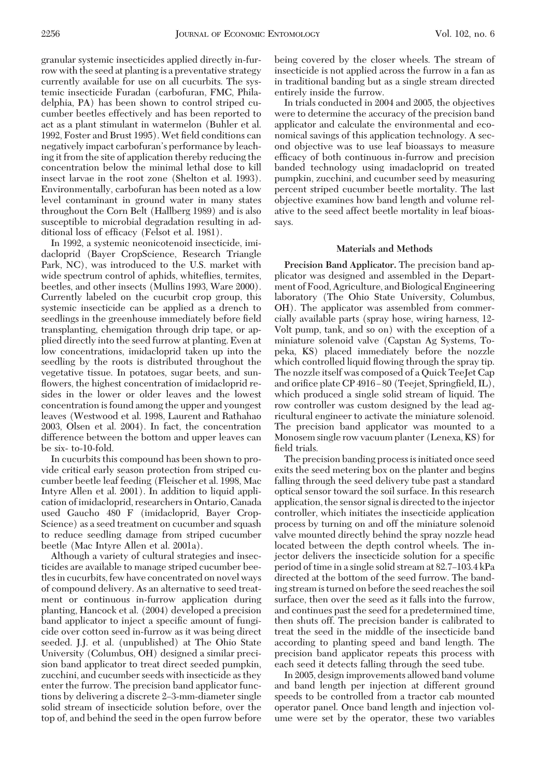granular systemic insecticides applied directly in-furrow with the seed at planting is a preventative strategy currently available for use on all cucurbits. The systemic insecticide Furadan (carbofuran, FMC, Philadelphia, PA) has been shown to control striped cucumber beetles effectively and has been reported to act as a plant stimulant in watermelon (Buhler et al. 1992, Foster and Brust 1995). Wet field conditions can negatively impact carbofuran's performance by leaching it from the site of application thereby reducing the concentration below the minimal lethal dose to kill insect larvae in the root zone (Shelton et al. 1993). Environmentally, carbofuran has been noted as a low level contaminant in ground water in many states throughout the Corn Belt (Hallberg 1989) and is also susceptible to microbial degradation resulting in additional loss of efficacy (Felsot et al. 1981).

In 1992, a systemic neonicotenoid insecticide, imidacloprid (Bayer CropScience, Research Triangle Park, NC), was introduced to the U.S. market with wide spectrum control of aphids, whiteflies, termites, beetles, and other insects (Mullins 1993, Ware 2000). Currently labeled on the cucurbit crop group, this systemic insecticide can be applied as a drench to seedlings in the greenhouse immediately before field transplanting, chemigation through drip tape, or applied directly into the seed furrow at planting. Even at low concentrations, imidacloprid taken up into the seedling by the roots is distributed throughout the vegetative tissue. In potatoes, sugar beets, and sunflowers, the highest concentration of imidacloprid resides in the lower or older leaves and the lowest concentration is found among the upper and youngest leaves (Westwood et al. 1998, Laurent and Rathahao 2003, Olsen et al. 2004). In fact, the concentration difference between the bottom and upper leaves can be six- to-10-fold.

In cucurbits this compound has been shown to provide critical early season protection from striped cucumber beetle leaf feeding (Fleischer et al. 1998, Mac Intyre Allen et al. 2001). In addition to liquid application of imidacloprid, researchers in Ontario, Canada used Gaucho 480 F (imidacloprid, Bayer Crop-Science) as a seed treatment on cucumber and squash to reduce seedling damage from striped cucumber beetle (Mac Intyre Allen et al. 2001a).

Although a variety of cultural strategies and insecticides are available to manage striped cucumber beetles in cucurbits, few have concentrated on novel ways of compound delivery. As an alternative to seed treatment or continuous in-furrow application during planting, Hancock et al. (2004) developed a precision band applicator to inject a specific amount of fungicide over cotton seed in-furrow as it was being direct seeded. J.J. et al. (unpublished) at The Ohio State University (Columbus, OH) designed a similar precision band applicator to treat direct seeded pumpkin, zucchini, and cucumber seeds with insecticide as they enter the furrow. The precision band applicator functions by delivering a discrete 2–3-mm-diameter single solid stream of insecticide solution before, over the top of, and behind the seed in the open furrow before being covered by the closer wheels. The stream of insecticide is not applied across the furrow in a fan as in traditional banding but as a single stream directed entirely inside the furrow.

In trials conducted in 2004 and 2005, the objectives were to determine the accuracy of the precision band applicator and calculate the environmental and economical savings of this application technology. A second objective was to use leaf bioassays to measure efficacy of both continuous in-furrow and precision banded technology using imadacloprid on treated pumpkin, zucchini, and cucumber seed by measuring percent striped cucumber beetle mortality. The last objective examines how band length and volume relative to the seed affect beetle mortality in leaf bioassays.

## **Materials and Methods**

**Precision Band Applicator.** The precision band applicator was designed and assembled in the Department of Food, Agriculture, and Biological Engineering laboratory (The Ohio State University, Columbus, OH). The applicator was assembled from commercially available parts (spray hose, wiring harness, 12- Volt pump, tank, and so on) with the exception of a miniature solenoid valve (Capstan Ag Systems, Topeka, KS) placed immediately before the nozzle which controlled liquid ßowing through the spray tip. The nozzle itself was composed of a Quick TeeJet Cap and orifice plate CP 4916-80 (Teejet, Springfield, IL), which produced a single solid stream of liquid. The row controller was custom designed by the lead agricultural engineer to activate the miniature solenoid. The precision band applicator was mounted to a Monosem single row vacuum planter (Lenexa, KS) for field trials.

The precision banding process is initiated once seed exits the seed metering box on the planter and begins falling through the seed delivery tube past a standard optical sensor toward the soil surface. In this research application, the sensor signal is directed to the injector controller, which initiates the insecticide application process by turning on and off the miniature solenoid valve mounted directly behind the spray nozzle head located between the depth control wheels. The injector delivers the insecticide solution for a specific period of time in a single solid stream at 82.7-103.4 kPa directed at the bottom of the seed furrow. The banding stream is turned on before the seed reaches the soil surface, then over the seed as it falls into the furrow, and continues past the seed for a predetermined time, then shuts off. The precision bander is calibrated to treat the seed in the middle of the insecticide band according to planting speed and band length. The precision band applicator repeats this process with each seed it detects falling through the seed tube.

In 2005, design improvements allowed band volume and band length per injection at different ground speeds to be controlled from a tractor cab mounted operator panel. Once band length and injection volume were set by the operator, these two variables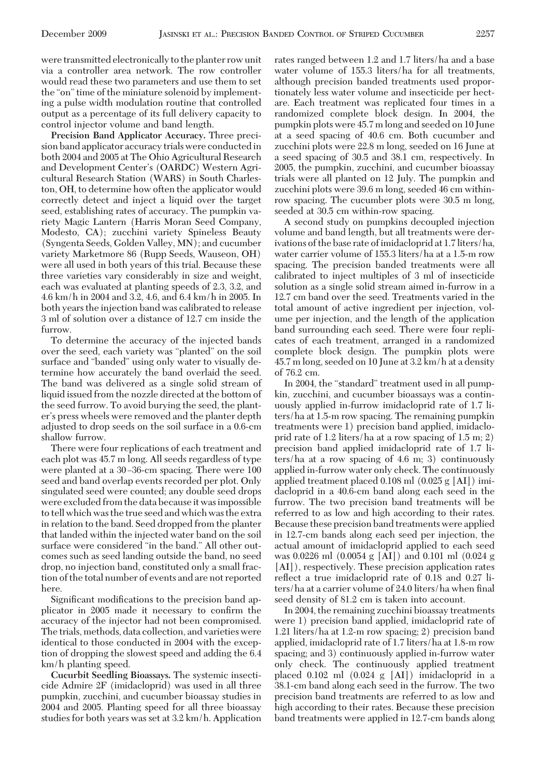were transmitted electronically to the planter row unit via a controller area network. The row controller would read these two parameters and use them to set the "on" time of the miniature solenoid by implementing a pulse width modulation routine that controlled output as a percentage of its full delivery capacity to control injector volume and band length.

**Precision Band Applicator Accuracy.** Three precision band applicator accuracy trials were conductedin both 2004 and 2005 at The Ohio Agricultural Research and Development Center's (OARDC) Western Agricultural Research Station (WARS) in South Charleston, OH, to determine how often the applicator would correctly detect and inject a liquid over the target seed, establishing rates of accuracy. The pumpkin variety Magic Lantern (Harris Moran Seed Company, Modesto, CA); zucchini variety Spineless Beauty (Syngenta Seeds, Golden Valley, MN); and cucumber variety Marketmore 86 (Rupp Seeds, Wauseon, OH) were all used in both years of this trial. Because these three varieties vary considerably in size and weight, each was evaluated at planting speeds of 2.3, 3.2, and 4.6 km/h in 2004 and 3.2, 4.6, and 6.4 km/h in 2005. In both years the injection band was calibrated to release 3 ml of solution over a distance of 12.7 cm inside the furrow.

To determine the accuracy of the injected bands over the seed, each variety was "planted" on the soil surface and "banded" using only water to visually determine how accurately the band overlaid the seed. The band was delivered as a single solid stream of liquid issued from the nozzle directed at the bottom of the seed furrow. To avoid burying the seed, the planter's press wheels were removed and the planter depth adjusted to drop seeds on the soil surface in a 0.6-cm shallow furrow.

There were four replications of each treatment and each plot was 45.7 m long. All seeds regardless of type were planted at a 30-36-cm spacing. There were 100 seed and band overlap events recorded per plot. Only singulated seed were counted; any double seed drops were excluded from the data because it was impossible to tell which was the true seed and which was the extra in relation to the band. Seed dropped from the planter that landed within the injected water band on the soil surface were considered "in the band." All other outcomes such as seed landing outside the band, no seed drop, no injection band, constituted only a small fraction of the total number of events and are not reported here.

Significant modifications to the precision band applicator in 2005 made it necessary to confirm the accuracy of the injector had not been compromised. The trials, methods, data collection, and varieties were identical to those conducted in 2004 with the exception of dropping the slowest speed and adding the 6.4 km/h planting speed.

**Cucurbit Seedling Bioassays.** The systemic insecticide Admire 2F (imidacloprid) was used in all three pumpkin, zucchini, and cucumber bioassay studies in 2004 and 2005. Planting speed for all three bioassay studies for both years was set at 3.2 km/h. Application rates ranged between 1.2 and 1.7 liters/ha and a base water volume of 155.3 liters/ha for all treatments, although precision banded treatments used proportionately less water volume and insecticide per hectare. Each treatment was replicated four times in a randomized complete block design. In 2004, the pumpkin plots were 45.7 m long and seeded on 10 June at a seed spacing of 40.6 cm. Both cucumber and zucchini plots were 22.8 m long, seeded on 16 June at a seed spacing of 30.5 and 38.1 cm, respectively. In 2005, the pumpkin, zucchini, and cucumber bioassay trials were all planted on 12 July. The pumpkin and zucchini plots were 39.6 m long, seeded 46 cm withinrow spacing. The cucumber plots were 30.5 m long, seeded at 30.5 cm within-row spacing.

A second study on pumpkins decoupled injection volume and band length, but all treatments were derivations of the base rate of imidacloprid at 1.7 liters/ha, water carrier volume of 155.3 liters/ha at a 1.5-m row spacing. The precision banded treatments were all calibrated to inject multiples of 3 ml of insecticide solution as a single solid stream aimed in-furrow in a 12.7 cm band over the seed. Treatments varied in the total amount of active ingredient per injection, volume per injection, and the length of the application band surrounding each seed. There were four replicates of each treatment, arranged in a randomized complete block design. The pumpkin plots were 45.7 m long, seeded on 10 June at 3.2 km/h at a density of 76.2 cm.

In 2004, the "standard" treatment used in all pumpkin, zucchini, and cucumber bioassays was a continuously applied in-furrow imidacloprid rate of 1.7 liters/ha at 1.5-m row spacing. The remaining pumpkin treatments were 1) precision band applied, imidacloprid rate of 1.2 liters/ha at a row spacing of 1.5 m; 2) precision band applied imidacloprid rate of 1.7 liters/ha at a row spacing of 4.6 m; 3) continuously applied in-furrow water only check. The continuously applied treatment placed 0.108 ml (0.025 g [AI]) imidacloprid in a 40.6-cm band along each seed in the furrow. The two precision band treatments will be referred to as low and high according to their rates. Because these precision band treatments were applied in 12.7-cm bands along each seed per injection, the actual amount of imidacloprid applied to each seed was 0.0226 ml (0.0054 g [AI]) and 0.101 ml (0.024 g [AI]), respectively. These precision application rates reßect a true imidacloprid rate of 0.18 and 0.27 liters/ha at a carrier volume of 24.0 liters/ha when final seed density of 81.2 cm is taken into account.

In 2004, the remaining zucchini bioassay treatments were 1) precision band applied, imidacloprid rate of 1.21 liters/ha at 1.2-m row spacing; 2) precision band applied, imidacloprid rate of 1.7 liters/ha at 1.8-m row spacing; and 3) continuously applied in-furrow water only check. The continuously applied treatment placed 0.102 ml (0.024 g [AI]) imidacloprid in a 38.1-cm band along each seed in the furrow. The two precision band treatments are referred to as low and high according to their rates. Because these precision band treatments were applied in 12.7-cm bands along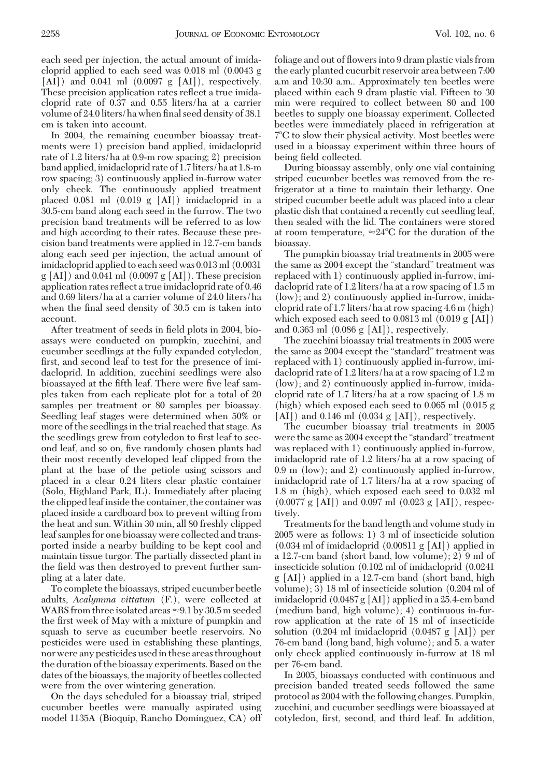each seed per injection, the actual amount of imidacloprid applied to each seed was 0.018 ml (0.0043 g  $[AI]$ ) and 0.041 ml  $(0.0097 \text{ g } [AI])$ , respectively. These precision application rates reßect a true imidacloprid rate of 0.37 and 0.55 liters/ha at a carrier volume of 24.0 liters/ha when final seed density of 38.1 cm is taken into account.

In 2004, the remaining cucumber bioassay treatments were 1) precision band applied, imidacloprid rate of 1.2 liters/ha at 0.9-m row spacing; 2) precision band applied, imidacloprid rate of 1.7 liters/ha at 1.8-m row spacing; 3) continuously applied in-furrow water only check. The continuously applied treatment placed 0.081 ml (0.019 g [AI]) imidacloprid in a 30.5-cm band along each seed in the furrow. The two precision band treatments will be referred to as low and high according to their rates. Because these precision band treatments were applied in 12.7-cm bands along each seed per injection, the actual amount of imidacloprid applied to each seed was 0.013 ml (0.0031 g [AI]) and 0.041 ml (0.0097 g [AI]). These precision application rates reflect a true imidacloprid rate of 0.46 and 0.69 liters/ha at a carrier volume of 24.0 liters/ha when the final seed density of 30.5 cm is taken into account.

After treatment of seeds in field plots in 2004, bioassays were conducted on pumpkin, zucchini, and cucumber seedlings at the fully expanded cotyledon, first, and second leaf to test for the presence of imidacloprid. In addition, zucchini seedlings were also bioassayed at the fifth leaf. There were five leaf samples taken from each replicate plot for a total of 20 samples per treatment or 80 samples per bioassay. Seedling leaf stages were determined when 50% or more of the seedlings in the trial reached that stage. As the seedlings grew from cotyledon to first leaf to second leaf, and so on, five randomly chosen plants had their most recently developed leaf clipped from the plant at the base of the petiole using scissors and placed in a clear 0.24 liters clear plastic container (Solo, Highland Park, IL). Immediately after placing the clippedleafinside the container, the container was placed inside a cardboard box to prevent wilting from the heat and sun. Within 30 min, all 80 freshly clipped leaf samples for one bioassay were collected and transported inside a nearby building to be kept cool and maintain tissue turgor. The partially dissected plant in the field was then destroyed to prevent further sampling at a later date.

To complete the bioassays, striped cucumber beetle adults, *Acalymma vittatum* (F.), were collected at WARS from three isolated areas  $\approx 9.1$  by 30.5 m seeded the first week of May with a mixture of pumpkin and squash to serve as cucumber beetle reservoirs. No pesticides were used in establishing these plantings, nor were any pesticides usedin these areas throughout the duration of the bioassay experiments. Based on the dates of the bioassays, the majority of beetles collected were from the over wintering generation.

On the days scheduled for a bioassay trial, striped cucumber beetles were manually aspirated using model 1135A (Bioquip, Rancho Dominguez, CA) off foliage and out of ßowers into 9 dram plastic vials from the early planted cucurbit reservoir area between 7:00 a.m and 10:30 a.m.. Approximately ten beetles were placed within each 9 dram plastic vial. Fifteen to 30 min were required to collect between 80 and 100 beetles to supply one bioassay experiment. Collected beetles were immediately placed in refrigeration at 7-C to slow their physical activity. Most beetles were used in a bioassay experiment within three hours of being field collected.

During bioassay assembly, only one vial containing striped cucumber beetles was removed from the refrigerator at a time to maintain their lethargy. One striped cucumber beetle adult was placed into a clear plastic dish that contained a recently cut seedling leaf, then sealed with the lid. The containers were stored at room temperature,  $\approx$ 24°C for the duration of the bioassay.

The pumpkin bioassay trial treatments in 2005 were the same as 2004 except the "standard" treatment was replaced with 1) continuously applied in-furrow, imidacloprid rate of 1.2 liters/ha at a row spacing of 1.5 m (low); and 2) continuously applied in-furrow, imidacloprid rate of 1.7 liters/ha at row spacing 4.6 m (high) which exposed each seed to 0.0813 ml (0.019 g [AI]) and 0.363 ml (0.086 g [AI]), respectively.

The zucchini bioassay trial treatments in 2005 were the same as 2004 except the "standard" treatment was replaced with 1) continuously applied in-furrow, imidacloprid rate of 1.2 liters/ha at a row spacing of 1.2 m (low); and 2) continuously applied in-furrow, imidacloprid rate of 1.7 liters/ha at a row spacing of 1.8 m (high) which exposed each seed to 0.065 ml (0.015 g  $[AI]$ ) and 0.146 ml  $(0.034 \text{ g } [AI])$ , respectively.

The cucumber bioassay trial treatments in 2005 were the same as 2004 except the "standard" treatment was replaced with 1) continuously applied in-furrow, imidacloprid rate of 1.2 liters/ha at a row spacing of 0.9 m (low); and 2) continuously applied in-furrow, imidacloprid rate of 1.7 liters/ha at a row spacing of 1.8 m (high), which exposed each seed to 0.032 ml (0.0077 g [AI]) and 0.097 ml (0.023 g [AI]), respectively.

Treatments for the band length and volume study in 2005 were as follows: 1) 3 ml of insecticide solution (0.034 ml of imidacloprid (0.00811 g [AI]) applied in a 12.7-cm band (short band, low volume); 2) 9 ml of insecticide solution (0.102 ml of imidacloprid (0.0241 g [AI]) applied in a 12.7-cm band (short band, high volume); 3) 18 ml of insecticide solution (0.204 ml of imidacloprid (0.0487 g [AI]) applied in a 25.4-cm band (medium band, high volume); 4) continuous in-furrow application at the rate of 18 ml of insecticide solution (0.204 ml imidacloprid (0.0487 g [AI]) per 76-cm band (long band, high volume); and 5. a water only check applied continuously in-furrow at 18 ml per 76-cm band.

In 2005, bioassays conducted with continuous and precision banded treated seeds followed the same protocol as 2004 with the following changes. Pumpkin, zucchini, and cucumber seedlings were bioassayed at cotyledon, first, second, and third leaf. In addition,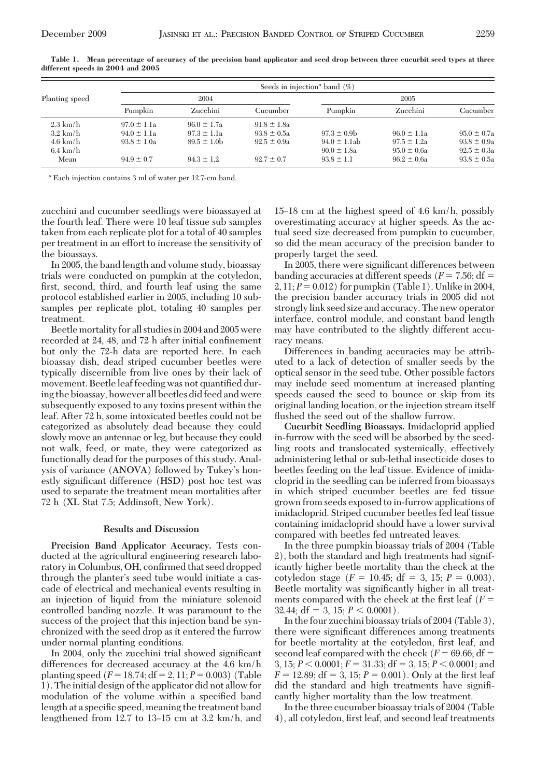|                    |                 | Seeds in injection <sup>a</sup> band $(\%)$ |                 |                   |                 |                 |  |  |  |  |
|--------------------|-----------------|---------------------------------------------|-----------------|-------------------|-----------------|-----------------|--|--|--|--|
| Planting speed     |                 | 2004                                        |                 | 2005              |                 |                 |  |  |  |  |
|                    | Pumpkin         | Zucchini                                    | Cucumber        | Pumpkin           | Zucchini        | Cucumber        |  |  |  |  |
| $2.3 \text{ km/h}$ | $97.0 \pm 1.1a$ | $96.0 \pm 1.7a$                             | $91.8 \pm 1.8a$ |                   |                 |                 |  |  |  |  |
| $3.2 \text{ km/h}$ | $94.0 \pm 1.1a$ | $97.3 \pm 1.1a$                             | $93.8 \pm 0.5a$ | $97.3 \pm 0.9$    | $96.0 \pm 1.1a$ | $95.0 \pm 0.7a$ |  |  |  |  |
| $4.6 \text{ km/h}$ | $93.8 \pm 1.0a$ | $89.5 \pm 1.0$ b                            | $92.5 \pm 0.9a$ | $94.0 \pm 1.1$ ab | $97.5 \pm 1.2a$ | $93.8 \pm 0.9a$ |  |  |  |  |
| $6.4 \text{ km/h}$ |                 |                                             |                 | $90.0 \pm 1.8a$   | $95.0 \pm 0.6a$ | $92.5 \pm 0.3a$ |  |  |  |  |
| Mean               | $94.9 \pm 0.7$  | $94.3 \pm 1.2$                              | $92.7 \pm 0.7$  | $93.8 \pm 1.1$    | $96.2 \pm 0.6a$ | $93.8 \pm 0.5a$ |  |  |  |  |

**Table 1. Mean percentage of accuracy of the precision band applicator and seed drop between three cucurbit seed types at three different speeds in 2004 and 2005**

*<sup>a</sup>* Each injection contains 3 ml of water per 12.7-cm band.

zucchini and cucumber seedlings were bioassayed at the fourth leaf. There were 10 leaf tissue sub samples taken from each replicate plot for a total of 40 samples per treatment in an effort to increase the sensitivity of the bioassays.

In 2005, the band length and volume study, bioassay trials were conducted on pumpkin at the cotyledon, first, second, third, and fourth leaf using the same protocol established earlier in 2005, including 10 subsamples per replicate plot, totaling 40 samples per treatment.

Beetle mortality for all studiesin 2004 and 2005 were recorded at 24, 48, and 72 h after initial confinement but only the 72-h data are reported here. In each bioassay dish, dead striped cucumber beetles were typically discernible from live ones by their lack of movement. Beetle leaf feeding was not quantified during the bioassay, however all beetles did feed and were subsequently exposed to any toxins present within the leaf. After 72 h, some intoxicated beetles could not be categorized as absolutely dead because they could slowly move an antennae or leg, but because they could not walk, feed, or mate, they were categorized as functionally dead for the purposes of this study. Analysis of variance (ANOVA) followed by Tukey's honestly significant difference (HSD) post hoc test was used to separate the treatment mean mortalities after 72 h (XL Stat 7.5; Addinsoft, New York).

## **Results and Discussion**

**Precision Band Applicator Accuracy.** Tests conducted at the agricultural engineering research laboratory in Columbus, OH, confirmed that seed dropped through the planter's seed tube would initiate a cascade of electrical and mechanical events resulting in an injection of liquid from the miniature solenoid controlled banding nozzle. It was paramount to the success of the project that this injection band be synchronized with the seed drop as it entered the furrow under normal planting conditions.

In 2004, only the zucchini trial showed significant differences for decreased accuracy at the 4.6 km/h planting speed  $(F = 18.74; df = 2, 11; P = 0.003)$  (Table 1). The initial design of the applicator did not allow for modulation of the volume within a specified band length at a specific speed, meaning the treatment band lengthened from  $12.7$  to  $13-15$  cm at  $3.2$  km/h, and 15Ð18 cm at the highest speed of 4.6 km/h, possibly overestimating accuracy at higher speeds. As the actual seed size decreased from pumpkin to cucumber, so did the mean accuracy of the precision bander to properly target the seed.

In 2005, there were significant differences between banding accuracies at different speeds  $(F = 7.56; df =$  $2, 11; P = 0.012$  for pumpkin (Table 1). Unlike in 2004, the precision bander accuracy trials in 2005 did not strongly link seed size and accuracy. The new operator interface, control module, and constant band length may have contributed to the slightly different accuracy means.

Differences in banding accuracies may be attributed to a lack of detection of smaller seeds by the optical sensor in the seed tube. Other possible factors may include seed momentum at increased planting speeds caused the seed to bounce or skip from its original landing location, or the injection stream itself flushed the seed out of the shallow furrow.

**Cucurbit Seedling Bioassays.** Imidacloprid applied in-furrow with the seed will be absorbed by the seedling roots and translocated systemically, effectively administering lethal or sub-lethal insecticide doses to beetles feeding on the leaf tissue. Evidence of imidacloprid in the seedling can be inferred from bioassays in which striped cucumber beetles are fed tissue grown from seeds exposed to in-furrow applications of imidacloprid. Striped cucumber beetles fed leaf tissue containing imidacloprid should have a lower survival compared with beetles fed untreated leaves.

In the three pumpkin bioassay trials of 2004 (Table 2), both the standard and high treatments had significantly higher beetle mortality than the check at the cotyledon stage  $(F = 10.45; df = 3, 15; P = 0.003)$ . Beetle mortality was significantly higher in all treatments compared with the check at the first leaf ( $F =$  $32.44$ ; df = 3, 15;  $P < 0.0001$ ).

In the four zucchini bioassay trials of 2004 (Table 3), there were significant differences among treatments for beetle mortality at the cotyledon, first leaf, and second leaf compared with the check  $(F = 69.66; df =$ 3, 15;  $P < 0.0001$ ;  $F = 31.33$ ; df = 3, 15;  $P < 0.0001$ ; and  $F = 12.89$ ;  $df = 3$ ,  $15$ ;  $P = 0.001$ ). Only at the first leaf did the standard and high treatments have signiÞcantly higher mortality than the low treatment.

In the three cucumber bioassay trials of 2004 (Table 4), all cotyledon, first leaf, and second leaf treatments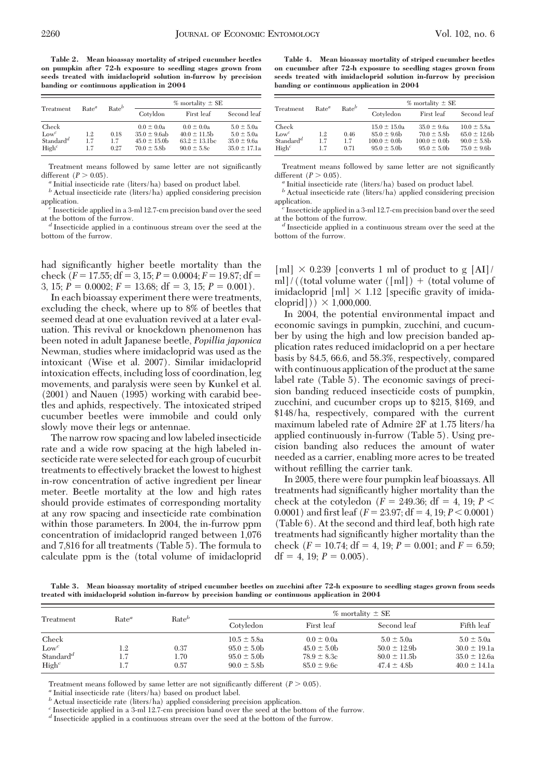**Table 2. Mean bioassay mortality of striped cucumber beetles on pumpkin after 72-h exposure to seedling stages grown from seeds treated with imidacloprid solution in-furrow by precision banding or continuous application in 2004**

| Treatment                                                      | Rate <sup>a</sup> | $Rate^b$            | $%$ mortality $\pm$ SE                                                       |                                                                              |                                                                         |  |  |
|----------------------------------------------------------------|-------------------|---------------------|------------------------------------------------------------------------------|------------------------------------------------------------------------------|-------------------------------------------------------------------------|--|--|
|                                                                |                   |                     | Cotyldon                                                                     | First leaf                                                                   | Second leaf                                                             |  |  |
| Check<br>$Low^c$<br>Standard <sup>d</sup><br>High <sup>c</sup> | 1.2<br>1.7<br>1.7 | 0.18<br>1.7<br>0.27 | $0.0 \pm 0.0a$<br>$35.0 \pm 9.6$ ab<br>$45.0 \pm 15.0$ b<br>$70.0 \pm 5.8$ b | $0.0 \pm 0.0a$<br>$40.0 \pm 11.5$ b<br>$63.2 \pm 13.1$ bc<br>$90.0 \pm 5.8c$ | $5.0 \pm 5.0a$<br>$5.0 \pm 5.0a$<br>$35.0 \pm 9.6a$<br>$35.0 \pm 17.1a$ |  |  |

Treatment means followed by same letter are not significantly different  $(P > 0.05)$ .

<sup>*a*</sup> Initial insecticide rate (liters/ha) based on product label.

 $\ensuremath{^{\textit{b}}}$  Actual insecticide rate (liters/ha) applied considering precision application. *<sup>c</sup>* Insecticide applied in a 3-ml 12.7-cm precision band over the seed

at the bottom of the furrow. *<sup>d</sup>* Insecticide applied in a continuous stream over the seed at the

bottom of the furrow.

had significantly higher beetle mortality than the check  $(F = 17.55; df = 3, 15; P = 0.0004; F = 19.87; df =$ 3, 15;  $P = 0.0002$ ;  $F = 13.68$ ; df = 3, 15;  $P = 0.001$ ).

In each bioassay experiment there were treatments, excluding the check, where up to 8% of beetles that seemed dead at one evaluation revived at a later evaluation. This revival or knockdown phenomenon has been noted in adult Japanese beetle, *Popillia japonica* Newman, studies where imidacloprid was used as the intoxicant (Wise et al. 2007). Similar imidacloprid intoxication effects, including loss of coordination, leg movements, and paralysis were seen by Kunkel et al. (2001) and Nauen (1995) working with carabid beetles and aphids, respectively. The intoxicated striped cucumber beetles were immobile and could only slowly move their legs or antennae.

The narrow row spacing and low labeled insecticide rate and a wide row spacing at the high labeled insecticide rate were selected for each group of cucurbit treatments to effectively bracket the lowest to highest in-row concentration of active ingredient per linear meter. Beetle mortality at the low and high rates should provide estimates of corresponding mortality at any row spacing and insecticide rate combination within those parameters. In 2004, the in-furrow ppm concentration of imidacloprid ranged between 1,076 and 7,816 for all treatments (Table 5). The formula to calculate ppm is the (total volume of imidacloprid

**Table 4. Mean bioassay mortality of striped cucumber beetles on cucumber after 72-h exposure to seedling stages grown from seeds treated with imidacloprid solution in-furrow by precision banding or continuous application in 2004**

| Treatment                                                      | Rate <sup>a</sup> | $Rate^b$            |                                                                           | $%$ mortality $\pm$ SE                                                    |                                                                          |
|----------------------------------------------------------------|-------------------|---------------------|---------------------------------------------------------------------------|---------------------------------------------------------------------------|--------------------------------------------------------------------------|
|                                                                |                   |                     | Cotyledon                                                                 | First leaf                                                                | Second leaf                                                              |
| Check<br>$Low^c$<br>Standard <sup>d</sup><br>High <sup>c</sup> | 1.2<br>1.7<br>1.7 | 0.46<br>1.7<br>0.71 | $15.0 \pm 15.0a$<br>$85.0 \pm 9.6$ b<br>$100.0 \pm 0.0$<br>$95.0 \pm 5.0$ | $35.0 \pm 9.6a$<br>$70.0 \pm 5.8$ b<br>$100.0 \pm 0.0b$<br>$95.0 \pm 5.0$ | $10.0 \pm 5.8a$<br>$65.0 \pm 12.6$ b<br>$90.0 \pm 5.8$<br>$75.0 \pm 9.6$ |

Treatment means followed by same letter are not significantly different  $(P > 0.05)$ .

<sup>*a*</sup> Initial insecticide rate (liters/ha) based on product label.

 $^b$  Actual insecticide rate (liters/ha) applied considering precision application. *<sup>c</sup>* Insecticide applied in a 3-ml 12.7-cm precision band over the seed

at the bottom of the furrow. *<sup>d</sup>* Insecticide applied in a continuous stream over the seed at the

bottom of the furrow.

[ml]  $\times$  0.239 [converts 1 ml of product to g [AI]/ ml]/((total volume water ([ml])  $+$  (total volume of imidacloprid  $[m] \times 1.12$  [specific gravity of imidacloprid])  $\times$  1,000,000.

In 2004, the potential environmental impact and economic savings in pumpkin, zucchini, and cucumber by using the high and low precision banded application rates reduced imidacloprid on a per hectare basis by 84.5, 66.6, and 58.3%, respectively, compared with continuous application of the product at the same label rate (Table 5). The economic savings of precision banding reduced insecticide costs of pumpkin, zucchini, and cucumber crops up to \$215, \$169, and \$148/ha, respectively, compared with the current maximum labeled rate of Admire 2F at 1.75 liters/ha applied continuously in-furrow (Table 5). Using precision banding also reduces the amount of water needed as a carrier, enabling more acres to be treated without refilling the carrier tank.

In 2005, there were four pumpkin leaf bioassays. All treatments had significantly higher mortality than the check at the cotyledon ( $F = 249.36$ ; df = 4, 19;  $P <$ 0.0001) and first leaf ( $F = 23.97$ ; df = 4, 19;  $P < 0.0001$ ) (Table 6). At the second and third leaf, both high rate treatments had significantly higher mortality than the check ( $F = 10.74$ ; df = 4, 19;  $P = 0.001$ ; and  $F = 6.59$ ;  $df = 4$ , 19;  $P = 0.005$ ).

**Table 3. Mean bioassay mortality of striped cucumber beetles on zucchini after 72-h exposure to seedling stages grown from seeds treated with imidacloprid solution in-furrow by precision banding or continuous application in 2004**

| Treatment             |                   |          |                  | $%$ mortality $\pm$ SE      |                   |                  |  |  |
|-----------------------|-------------------|----------|------------------|-----------------------------|-------------------|------------------|--|--|
|                       | Rate <sup>a</sup> | $Rate^b$ | Cotyledon        | First leaf                  | Second leaf       | Fifth leaf       |  |  |
| Check                 |                   |          | $10.5 \pm 5.8a$  | $0.0 \pm 0.0a$              | $5.0 \pm 5.0a$    | $5.0 \pm 5.0a$   |  |  |
| $Low^c$               | 1.2               | 0.37     | $95.0 \pm 5.0$   | $45.0 \pm 5.0$ <sub>b</sub> | $50.0 \pm 12.9$ b | $30.0 \pm 19.1a$ |  |  |
| Standard <sup>d</sup> |                   | 1.70     | $95.0 \pm 5.0$   | $78.9 \pm 8.3c$             | $80.0 \pm 11.5$ b | $35.0 \pm 12.6a$ |  |  |
| High <sup>c</sup>     |                   | 0.57     | $90.0 \pm 5.8$ b | $85.0 \pm 9.6c$             | $47.4 \pm 4.8$ b  | $40.0 \pm 14.1a$ |  |  |

Treatment means followed by same letter are not significantly different  $(P > 0.05)$ . *a* Initial insecticide rate (liters/ha) based on product label.

 $\ensuremath{^b}$  Actual insecticide rate (liters/ha) applied considering precision application.

*<sup>c</sup>* Insecticide applied in a 3-ml 12.7-cm precision band over the seed at the bottom of the furrow.

*<sup>d</sup>* Insecticide applied in a continuous stream over the seed at the bottom of the furrow.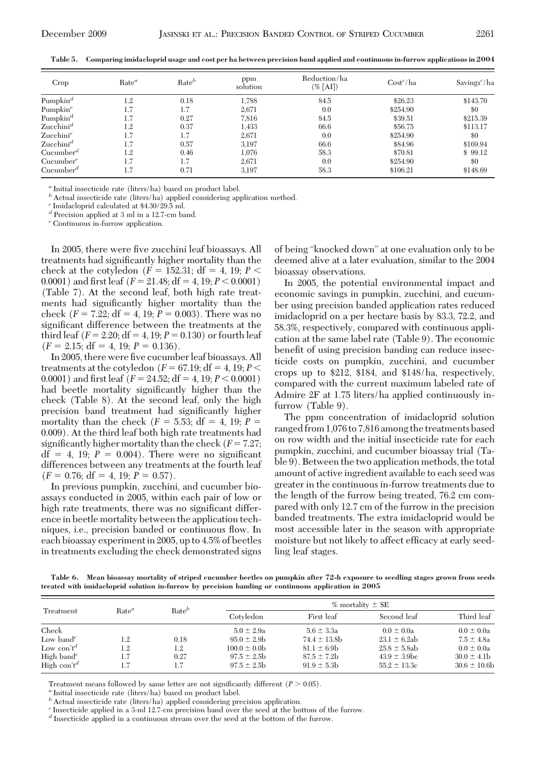| Crop                              | Rate <sup>a</sup> | $Rate^b$ | ppm<br>solution | Reduction/ha<br>$(\%$ [AI]) | $\text{Cost}^c/\text{ha}$ | Savings <sup><math>c</math></sup> /ha |
|-----------------------------------|-------------------|----------|-----------------|-----------------------------|---------------------------|---------------------------------------|
| Pumpkin <sup><math>d</math></sup> | $1.2\,$           | 0.18     | 1,788           | 84.5                        | \$26.23                   | \$143.70                              |
| Pumpkin <sup>e</sup>              | 1.7               | 1.7      | 2,671           | 0.0                         | \$254.90                  | \$0                                   |
| Pumpkin <sup>d</sup>              | 1.7               | 0.27     | 7,816           | 84.5                        | \$39.51                   | \$215.39                              |
| Zucchini <sup>d</sup>             | $1.2\,$           | 0.37     | 1,433           | 66.6                        | \$56.75                   | \$113.17                              |
| $\mathrm{Zucchini}^e$             | 1.7               | 1.7      | 2,671           | 0.0                         | \$254.90                  | \$0                                   |
| $\text{Zucchini}^d$               | 1.7               | 0.57     | 3,197           | 66.6                        | \$84.96                   | \$169.94                              |
| $Cucumber^d$                      | $1.2\,$           | 0.46     | 1,076           | 58.3                        | \$70.81                   | \$99.12                               |
| $Cucumber^e$                      | 1.7               | 1.7      | 2,671           | 0.0                         | \$254.90                  | \$0                                   |
| $Cucumber^d$                      | 1.7               | 0.71     | 3.197           | 58.3                        | \$106.21                  | \$148.69                              |

**Table 5. Comparing imidacloprid usage and cost per ha between precision band applied and continuous in-furrow applications in 2004**

*<sup>a</sup>* Initial insecticide rate (liters/ha) based on product label.

*b* Actual insecticide rate (liters/ha) applied considering application method.

*<sup>c</sup>* Imidacloprid calculated at \$4.30/29.5 ml.

*<sup>d</sup>* Precision applied at 3 ml in a 12.7-cm band.

*<sup>e</sup>* Continuous in-furrow application.

In 2005, there were five zucchini leaf bioassays. All treatments had significantly higher mortality than the check at the cotyledon  $(F = 152.31; df = 4, 19; P <$ 0.0001) and first leaf ( $F = 21.48$ ; df = 4, 19;  $P < 0.0001$ ) (Table 7). At the second leaf, both high rate treatments had significantly higher mortality than the check ( $F = 7.22$ ; df = 4, 19;  $P = 0.003$ ). There was no significant difference between the treatments at the third leaf  $(F = 2.20; df = 4, 19; P = 0.130)$  or fourth leaf  $(F = 2.15; df = 4, 19; P = 0.136).$ 

In 2005, there were five cucumber leaf bioassays. All treatments at the cotyledon  $(F = 67.19; df = 4, 19; P <$ 0.0001) and first leaf  $(F = 24.52; df = 4, 19; P < 0.0001)$ had beetle mortality significantly higher than the check (Table 8). At the second leaf, only the high precision band treatment had significantly higher mortality than the check  $(F = 5.53; df = 4, 19; P =$ 0.009). At the third leaf both high rate treatments had significantly higher mortality than the check  $(F = 7.27;$  $df = 4$ , 19;  $P = 0.004$ ). There were no significant differences between any treatments at the fourth leaf  $(F = 0.76; df = 4, 19; P = 0.57).$ 

In previous pumpkin, zucchini, and cucumber bioassays conducted in 2005, within each pair of low or high rate treatments, there was no significant difference in beetle mortality between the application techniques, i.e., precision banded or continuous ßow. In each bioassay experiment in 2005, up to 4.5% of beetles in treatments excluding the check demonstrated signs of being "knocked down" at one evaluation only to be deemed alive at a later evaluation, similar to the 2004 bioassay observations.

In 2005, the potential environmental impact and economic savings in pumpkin, zucchini, and cucumber using precision banded application rates reduced imidacloprid on a per hectare basis by 83.3, 72.2, and 58.3%, respectively, compared with continuous application at the same label rate (Table 9). The economic benefit of using precision banding can reduce insecticide costs on pumpkin, zucchini, and cucumber crops up to \$212, \$184, and \$148/ha, respectively, compared with the current maximum labeled rate of Admire 2F at 1.75 liters/ha applied continuously infurrow (Table 9).

The ppm concentration of imidacloprid solution ranged from 1,076 to 7,816 among the treatments based on row width and the initial insecticide rate for each pumpkin, zucchini, and cucumber bioassay trial (Table 9). Between the two application methods, the total amount of active ingredient available to each seed was greater in the continuous in-furrow treatments due to the length of the furrow being treated, 76.2 cm compared with only 12.7 cm of the furrow in the precision banded treatments. The extra imidacloprid would be most accessible later in the season with appropriate moisture but not likely to affect efficacy at early seedling leaf stages.

**Table 6. Mean bioassay mortality of striped cucumber beetles on pumpkin after 72-h exposure to seedling stages grown from seeds treated with imidacloprid solution in-furrow by precision banding or continuous application in 2005**

| Treatment                           |                   |          |                  | $%$ mortality $\pm$ SE |                   |                 |  |  |
|-------------------------------------|-------------------|----------|------------------|------------------------|-------------------|-----------------|--|--|
|                                     | Rate <sup>a</sup> | $Rate^b$ | Cotyledon        | First leaf             | Second leaf       | Third leaf      |  |  |
| Check                               |                   |          | $5.0 \pm 2.9a$   | $5.6 \pm 3.3a$         | $0.0 \pm 0.0a$    | $0.0 \pm 0.0a$  |  |  |
| Low band <sup><math>c</math></sup>  | 1.2               | 0.18     | $95.0 \pm 2.9$ b | $74.4 \pm 13.8$ b      | $23.1 \pm 6.2ab$  | $7.5 \pm 4.8a$  |  |  |
| Low con't <sup>d</sup>              | 1.2               | 1.2      | $100.0 \pm 0.0b$ | $81.1 \pm 6.9$         | $25.8 \pm 5.8$ ab | $0.0 \pm 0.0a$  |  |  |
| High band <sup><math>c</math></sup> | 1.7               | 0.27     | $97.5 \pm 2.5$   | $87.5 \pm 7.2$ b       | $43.9 \pm 3.9$ bc | $30.0 \pm 4.1$  |  |  |
| High con't <sup>d</sup>             | 1.7               | 1.7      | $97.5 \pm 2.5$   | $91.9 \pm 5.3$         | $55.2 \pm 13.3c$  | $30.6 \pm 10.6$ |  |  |

Treatment means followed by same letter are not significantly different  $(P > 0.05)$ .<br><sup>*a*</sup> Initial insecticide rate (liters/ha) based on product label.

 $\ensuremath{^b}$  Actual insecticide rate (liters/ha) applied considering precision application.

*<sup>c</sup>* Insecticide applied in a 3-ml 12.7-cm precision band over the seed at the bottom of the furrow.

*<sup>d</sup>* Insecticide applied in a continuous stream over the seed at the bottom of the furrow.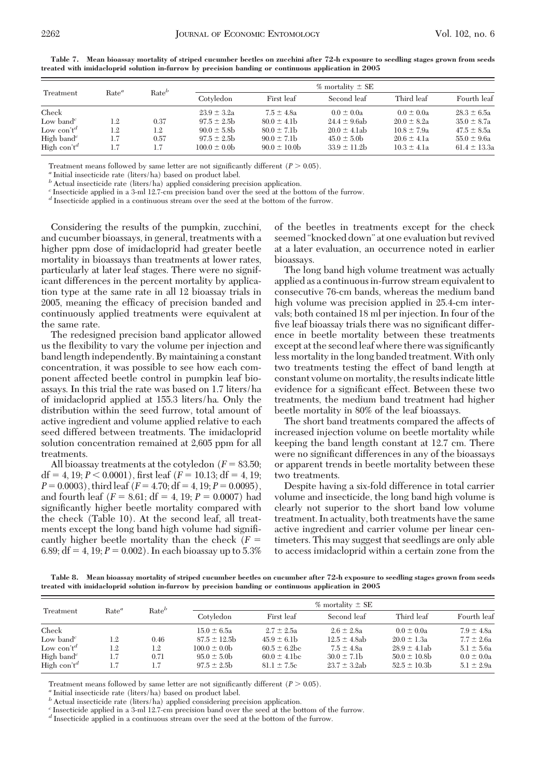|                                     |                   | $Rate^b$ |                  |                 | $%$ mortality $\pm$ SE |                 |                  |
|-------------------------------------|-------------------|----------|------------------|-----------------|------------------------|-----------------|------------------|
| Treatment                           | Rate <sup>a</sup> |          | Cotyledon        | First leaf      | Second leaf            | Third leaf      | Fourth leaf      |
| Check                               |                   |          | $23.9 \pm 3.2a$  | $7.5 \pm 4.8a$  | $0.0 \pm 0.0a$         | $0.0 \pm 0.0a$  | $28.3 \pm 6.5a$  |
| Low band <sup><math>c</math></sup>  | 1.2               | 0.37     | $97.5 \pm 2.5$   | $80.0 \pm 4.1$  | $24.4 \pm 9.6$ ab      | $20.0 \pm 8.2a$ | $35.0 \pm 8.7a$  |
| Low con't <sup>d</sup>              | 1.2               | 1.2      | $90.0 \pm 5.8$ b | $80.0 \pm 7.1$  | $20.0 \pm 4.1$ ab      | $10.8 \pm 7.9a$ | $47.5 \pm 8.5a$  |
| High band <sup><math>c</math></sup> | 1.7               | 0.57     | $97.5 \pm 2.5$   | $90.0 \pm 7.1$  | $45.0 \pm 5.0$         | $20.6 \pm 4.1a$ | $55.0 \pm 9.6a$  |
| High con't <sup>d</sup>             | 1.7               | 1.7      | $100.0 \pm 0.0b$ | $90.0 \pm 10.0$ | $33.9 \pm 11.2b$       | $10.3 \pm 4.1a$ | $61.4 \pm 13.3a$ |

**Table 7. Mean bioassay mortality of striped cucumber beetles on zucchini after 72-h exposure to seedling stages grown from seeds treated with imidacloprid solution in-furrow by precision banding or continuous application in 2005**

Treatment means followed by same letter are not significantly different  $(P > 0.05)$ .<br><sup>*a*</sup> Initial insecticide rate (liters/ha) based on product label.

*b* Actual insecticide rate (liters/ha) applied considering precision application.

*<sup>c</sup>* Insecticide applied in a 3-ml 12.7-cm precision band over the seed at the bottom of the furrow.

*<sup>d</sup>* Insecticide applied in a continuous stream over the seed at the bottom of the furrow.

Considering the results of the pumpkin, zucchini, and cucumber bioassays, in general, treatments with a higher ppm dose of imidacloprid had greater beetle mortality in bioassays than treatments at lower rates, particularly at later leaf stages. There were no significant differences in the percent mortality by application type at the same rate in all 12 bioassay trials in 2005, meaning the efficacy of precision banded and continuously applied treatments were equivalent at the same rate.

The redesigned precision band applicator allowed us the ßexibility to vary the volume per injection and band length independently. By maintaining a constant concentration, it was possible to see how each component affected beetle control in pumpkin leaf bioassays. In this trial the rate was based on 1.7 liters/ha of imidacloprid applied at 155.3 liters/ha. Only the distribution within the seed furrow, total amount of active ingredient and volume applied relative to each seed differed between treatments. The imidacloprid solution concentration remained at 2,605 ppm for all treatments.

All bioassay treatments at the cotyledon  $(F = 83.50;$  $df = 4$ , 19;  $P < 0.0001$ ), first leaf ( $F = 10.13$ ;  $df = 4$ , 19;  $P = 0.0003$ , third leaf ( $F = 4.70$ ; df = 4, 19;  $P = 0.0095$ ), and fourth leaf  $(F = 8.61; df = 4, 19; P = 0.0007)$  had significantly higher beetle mortality compared with the check (Table 10). At the second leaf, all treatments except the long band high volume had signiÞcantly higher beetle mortality than the check (*F* 6.89;  $df = 4$ , 19;  $P = 0.002$ ). In each bioassay up to 5.3% of the beetles in treatments except for the check seemed "knocked down" at one evaluation but revived at a later evaluation, an occurrence noted in earlier bioassays.

The long band high volume treatment was actually applied as a continuous in-furrow stream equivalent to consecutive 76-cm bands, whereas the medium band high volume was precision applied in 25.4-cm intervals; both contained 18 ml per injection. In four of the five leaf bioassay trials there was no significant difference in beetle mortality between these treatments except at the second leaf where there was significantly less mortality in the long banded treatment. With only two treatments testing the effect of band length at constant volume on mortality, the results indicate little evidence for a significant effect. Between these two treatments, the medium band treatment had higher beetle mortality in 80% of the leaf bioassays.

The short band treatments compared the affects of increased injection volume on beetle mortality while keeping the band length constant at 12.7 cm. There were no significant differences in any of the bioassays or apparent trends in beetle mortality between these two treatments.

Despite having a six-fold difference in total carrier volume and insecticide, the long band high volume is clearly not superior to the short band low volume treatment. In actuality, both treatments have the same active ingredient and carrier volume per linear centimeters. This may suggest that seedlings are only able to access imidacloprid within a certain zone from the

**Table 8. Mean bioassay mortality of striped cucumber beetles on cucumber after 72-h exposure to seedling stages grown from seeds treated with imidacloprid solution in-furrow by precision banding or continuous application in 2005**

|                                                                                                                                         |                          | $Rate^b$                   |                                                                                              |                                                                                               | $%$ mortality $\pm$ SE                                                                      |                                                                                              |                                                                                        |
|-----------------------------------------------------------------------------------------------------------------------------------------|--------------------------|----------------------------|----------------------------------------------------------------------------------------------|-----------------------------------------------------------------------------------------------|---------------------------------------------------------------------------------------------|----------------------------------------------------------------------------------------------|----------------------------------------------------------------------------------------|
| Treatment                                                                                                                               | Rate <sup>a</sup>        |                            | Cotyledon                                                                                    | First leaf                                                                                    | Second leaf                                                                                 | Third leaf                                                                                   | Fourth leaf                                                                            |
| Check<br>Low band <sup><math>c</math></sup><br>Low con't <sup>d</sup><br>High band <sup><math>c</math></sup><br>High con't <sup>d</sup> | 1.2<br>1.2<br>1.7<br>1.7 | 0.46<br>1.2<br>0.71<br>1.7 | $15.0 \pm 6.5a$<br>$87.5 \pm 12.5$ b<br>$100.0 \pm 0.0b$<br>$95.0 \pm 5.0$<br>$97.5 \pm 2.5$ | $2.7 \pm 2.5a$<br>$45.9 \pm 6.1$<br>$60.5 \pm 6.2$ bc<br>$60.0 \pm 4.1$ bc<br>$81.1 \pm 7.5c$ | $2.6 \pm 2.8a$<br>$12.5 \pm 4.8$ ab<br>$7.5 \pm 4.8a$<br>$30.0 \pm 7.1$<br>$23.7 \pm 3.2ab$ | $0.0 \pm 0.0a$<br>$20.0 \pm 1.3a$<br>$28.9 \pm 4.1$ ab<br>$50.0 \pm 10.8$<br>$52.5 \pm 10.3$ | $7.9 \pm 4.8a$<br>$7.7 \pm 2.6a$<br>$5.1 \pm 5.6a$<br>$0.0 \pm 0.0a$<br>$5.1 \pm 2.9a$ |

Treatment means followed by same letter are not significantly different  $(P > 0.05)$ . *a* Initial insecticide rate (liters/ha) based on product label.

*b* Actual insecticide rate (liters/ha) applied considering precision application.

*<sup>c</sup>* Insecticide applied in a 3-ml 12.7-cm precision band over the seed at the bottom of the furrow.

*<sup>d</sup>* Insecticide applied in a continuous stream over the seed at the bottom of the furrow.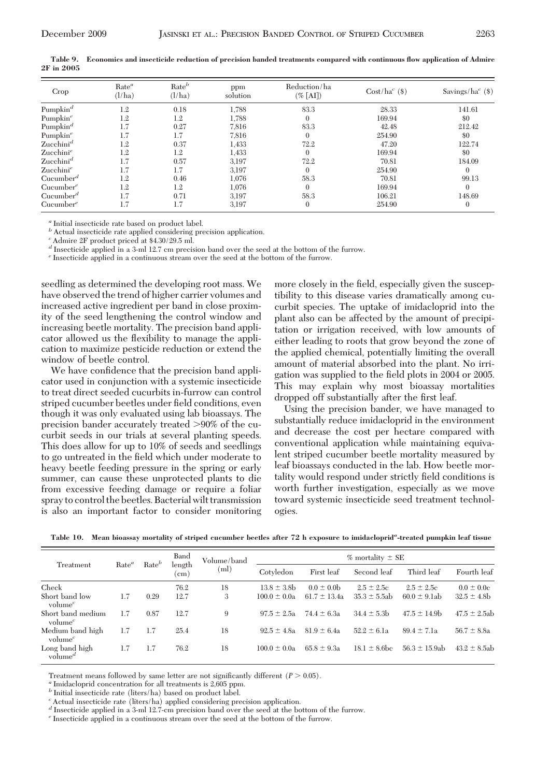| Crop                              | Rate <sup>a</sup><br>(l/ha) | $Rate^b$<br>(l/ha) | ppm<br>solution | Reduction/ha<br>$(\%$ [AI]) | $Cost/ha^{c}(\$)$ | Savings/ $ha^{c}$ (\$) |
|-----------------------------------|-----------------------------|--------------------|-----------------|-----------------------------|-------------------|------------------------|
| Pumpkin <sup>d</sup>              | 1.2                         | 0.18               | 1,788           | 83.3                        | 28.33             | 141.61                 |
| Pumpkin <sup>e</sup>              | 1.2                         | 1.2                | 1,788           | $\mathbf{0}$                | 169.94            | \$0                    |
| Pumpkin <sup><math>d</math></sup> | 1.7                         | 0.27               | 7,816           | 83.3                        | 42.48             | 212.42                 |
| Pumpkin <sup>e</sup>              | 1.7                         | 1.7                | 7,816           | $\mathbf{0}$                | 254.90            | \$0                    |
| Zucchini <sup>d</sup>             | 1.2                         | 0.37               | 1,433           | 72.2                        | 47.20             | 122.74                 |
| Zucchini <sup>e</sup>             | 1.2                         | 1.2                | 1,433           | $\Omega$                    | 169.94            | \$0                    |
| Zucchini <sup>d</sup>             | 1.7                         | 0.57               | 3,197           | 72.2                        | 70.81             | 184.09                 |
| Zucchini <sup>e</sup>             | 1.7                         | 1.7                | 3,197           | $\mathbf{0}$                | 254.90            | $\Omega$               |
| $Cucumber^d$                      | 1.2                         | 0.46               | 1,076           | 58.3                        | 70.81             | 99.13                  |
| $Cucumber^e$                      | 1.2                         | 1.2                | 1,076           | $\mathbf{0}$                | 169.94            | $\Omega$               |
| $Cucumber^d$                      | 1.7                         | 0.71               | 3,197           | 58.3                        | 106.21            | 148.69                 |
| $Cucumber^e$                      | 1.7                         | 1.7                | 3,197           | $\mathbf{0}$                | 254.90            | $\theta$               |

**Table 9. Economics and insecticide reduction of precision banded treatments compared with continuous flow application of Admire 2F in 2005**

*<sup>a</sup>* Initial insecticide rate based on product label.

*b* Actual insecticide rate applied considering precision application.

*<sup>c</sup>* Admire 2F product priced at \$4.30/29.5 ml.

*<sup>d</sup>* Insecticide applied in a 3-ml 12.7 cm precision band over the seed at the bottom of the furrow.

*<sup>e</sup>* Insecticide applied in a continuous stream over the seed at the bottom of the furrow.

seedling as determined the developing root mass. We have observed the trend of higher carrier volumes and increased active ingredient per band in close proximity of the seed lengthening the control window and increasing beetle mortality. The precision band applicator allowed us the ßexibility to manage the application to maximize pesticide reduction or extend the window of beetle control.

We have confidence that the precision band applicator used in conjunction with a systemic insecticide to treat direct seeded cucurbits in-furrow can control striped cucumber beetles under field conditions, even though it was only evaluated using lab bioassays. The precision bander accurately treated 90% of the cucurbit seeds in our trials at several planting speeds. This does allow for up to 10% of seeds and seedlings to go untreated in the field which under moderate to heavy beetle feeding pressure in the spring or early summer, can cause these unprotected plants to die from excessive feeding damage or require a foliar spray to control the beetles. Bacterial wilt transmission is also an important factor to consider monitoring more closely in the field, especially given the susceptibility to this disease varies dramatically among cucurbit species. The uptake of imidacloprid into the plant also can be affected by the amount of precipitation or irrigation received, with low amounts of either leading to roots that grow beyond the zone of the applied chemical, potentially limiting the overall amount of material absorbed into the plant. No irrigation was supplied to the field plots in 2004 or 2005. This may explain why most bioassay mortalities dropped off substantially after the first leaf.

Using the precision bander, we have managed to substantially reduce imidacloprid in the environment and decrease the cost per hectare compared with conventional application while maintaining equivalent striped cucumber beetle mortality measured by leaf bioassays conducted in the lab. How beetle mortality would respond under strictly field conditions is worth further investigation, especially as we move toward systemic insecticide seed treatment technologies.

|  |  | Table 10. Mean bioassay mortality of striped cucumber beetles after 72 h exposure to imidacloprid <sup>a</sup> -treated pumpkin leaf tissue |  |  |  |
|--|--|---------------------------------------------------------------------------------------------------------------------------------------------|--|--|--|
|--|--|---------------------------------------------------------------------------------------------------------------------------------------------|--|--|--|

|                                                    |                   |          | Band                 | Volume/band |                  |                  | $%$ mortality $\pm$ SE |                   |                   |
|----------------------------------------------------|-------------------|----------|----------------------|-------------|------------------|------------------|------------------------|-------------------|-------------------|
| Treatment                                          | Rate <sup>a</sup> | $Rate^b$ | length<br>$\rm (cm)$ | (ml)        | Cotyledon        | First leaf       | Second leaf            | Third leaf        | Fourth leaf       |
| Check                                              |                   |          | 76.2                 | 18          | $13.8 \pm 3.8$   | $0.0 \pm 0.0$    | $2.5 \pm 2.5c$         | $2.5 \pm 2.5c$    | $0.0 \pm 0.0c$    |
| Short band low<br>volume <sup><math>c</math></sup> | 1.7               | 0.29     | 12.7                 | 3           | $100.0 \pm 0.0a$ | $61.7 \pm 13.4a$ | $35.3 \pm 5.5$ ab      | $60.0 \pm 9.1$ ab | $32.5 \pm 4.8$ b  |
| Short band medium<br>volume <sup>c</sup>           | 1.7               | 0.87     | 12.7                 | 9           | $97.5 \pm 2.5a$  | $74.4 \pm 6.3a$  | $34.4 \pm 5.3$         | $47.5 \pm 14.9$ b | $47.5 \pm 2.5$ ab |
| Medium band high<br>volume <sup>c</sup>            | 1.7               | 1.7      | 25.4                 | 18          | $92.5 \pm 4.8a$  | $81.9 \pm 6.4a$  | $52.2 \pm 6.1a$        | $89.4 \pm 7.1a$   | $56.7 \pm 8.8a$   |
| Long band high<br>volume <sup><math>d</math></sup> | 1.7               | 1.7      | 76.2                 | 18          | $100.0 \pm 0.0a$ | $65.8 \pm 9.3a$  | $18.1 \pm 8.6$ bc      | $56.3 \pm 15.9ab$ | $43.2 \pm 8.5$ ab |

Treatment means followed by same letter are not significantly different  $(P > 0.05)$ .<br>*a* Imidacloprid concentration for all treatments is 2,605 ppm.

 $\ensuremath{^b}$  Initial insecticide rate (liters/ha) based on product label.

*<sup>c</sup>* Actual insecticide rate (liters/ha) applied considering precision application.

*<sup>d</sup>* Insecticide applied in a 3-ml 12.7-cm precision band over the seed at the bottom of the furrow.

*<sup>e</sup>* Insecticide applied in a continuous stream over the seed at the bottom of the furrow.